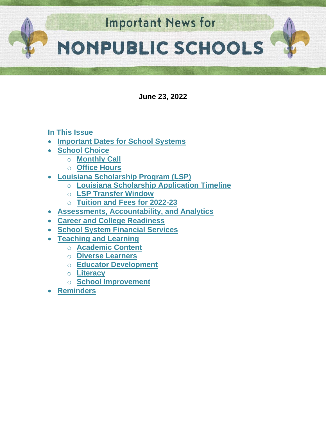

**June 23, 2022**

## **In This Issue**

- **[Important Dates for School Systems](#page-1-0)**
- **[School Choice](#page-2-0)** 
	- o **[Monthly Call](#page-2-1)**
	- o **[Office Hours](#page-2-2)**
- **[Louisiana Scholarship Program \(LSP\)](#page-2-3)**
	- o **[Louisiana Scholarship Application Timeline](#page-2-3)**
	- o **[LSP Transfer Window](#page-3-0)**
	- o **[Tuition and Fees for 2022-23](#page-3-1)**
- **Assessments, Accountability, and Analytics**
- **[Career and College Readiness](#page-4-0)**
- **School System Financial Services**
- **[Teaching and Learning](#page-5-0)**
	- o **[Academic Content](#page-5-1)**
	- o **[Diverse Learners](#page-6-0)**
	- o **[Educator Development](#page-6-1)**
	- o **[Literacy](#page-8-0)**
	- o **School [Improvement](#page-10-0)**
- **[Reminders](#page-11-0)**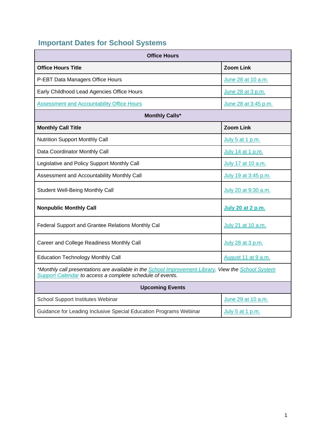# <span id="page-1-0"></span>**Important Dates for School Systems**

| <b>Office Hours</b>                                                                                                                                              |                          |  |  |  |  |  |
|------------------------------------------------------------------------------------------------------------------------------------------------------------------|--------------------------|--|--|--|--|--|
| <b>Office Hours Title</b>                                                                                                                                        | <b>Zoom Link</b>         |  |  |  |  |  |
| P-EBT Data Managers Office Hours                                                                                                                                 | June 28 at 10 a.m.       |  |  |  |  |  |
| Early Childhood Lead Agencies Office Hours                                                                                                                       | June 28 at 3 p.m.        |  |  |  |  |  |
| <b>Assessment and Accountability Office Hours</b>                                                                                                                | June 28 at 3:45 p.m.     |  |  |  |  |  |
| <b>Monthly Calls*</b>                                                                                                                                            |                          |  |  |  |  |  |
| <b>Monthly Call Title</b>                                                                                                                                        | <b>Zoom Link</b>         |  |  |  |  |  |
| <b>Nutrition Support Monthly Call</b>                                                                                                                            | July 5 at 1 p.m.         |  |  |  |  |  |
| Data Coordinator Monthly Call                                                                                                                                    | July 14 at 1 p.m.        |  |  |  |  |  |
| Legislative and Policy Support Monthly Call                                                                                                                      | July 17 at 10 a.m.       |  |  |  |  |  |
| Assessment and Accountability Monthly Call                                                                                                                       | July 19 at 3:45 p.m.     |  |  |  |  |  |
| <b>Student Well-Being Monthly Call</b>                                                                                                                           | July 20 at 9:30 a.m.     |  |  |  |  |  |
| <b>Nonpublic Monthly Call</b>                                                                                                                                    | <b>July 20 at 2 p.m.</b> |  |  |  |  |  |
| Federal Support and Grantee Relations Monthly Cal                                                                                                                | July 21 at 10 a.m.       |  |  |  |  |  |
| Career and College Readiness Monthly Call                                                                                                                        | July 28 at 3 p.m.        |  |  |  |  |  |
| <b>Education Technology Monthly Call</b>                                                                                                                         | August 11 at 9 a.m.      |  |  |  |  |  |
| *Monthly call presentations are available in the School Improvement Library. View the School System<br>Support Calendar to access a complete schedule of events. |                          |  |  |  |  |  |
| <b>Upcoming Events</b>                                                                                                                                           |                          |  |  |  |  |  |
| School Support Institutes Webinar                                                                                                                                | June 29 at 10 a.m.       |  |  |  |  |  |
| Guidance for Leading Inclusive Special Education Programs Webinar                                                                                                | July 5 at 1 p.m.         |  |  |  |  |  |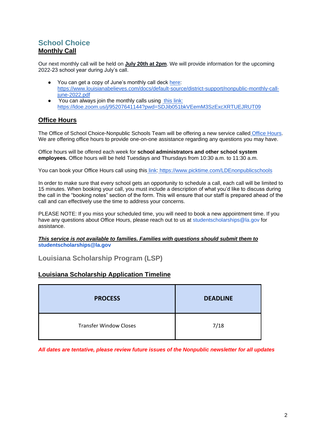## <span id="page-2-1"></span><span id="page-2-0"></span>**School Choice Monthly Call**

Our next monthly call will be held on **July 20th at 2pm**. We will provide information for the upcoming 2022-23 school year during July's call.

- You can get a copy of June's monthly call deck [here:](https://www.louisianabelieves.com/docs/default-source/district-support/nonpublic-monthly-call-june-2022.pdf) [https://www.louisianabelieves.com/docs/default-source/district-support/nonpublic-monthly-call](https://www.louisianabelieves.com/docs/default-source/district-support/nonpublic-monthly-call-june-2022.pdf)[june-2022.pdf](https://www.louisianabelieves.com/docs/default-source/district-support/nonpublic-monthly-call-june-2022.pdf)
- You can always join the monthly calls usin[g](https://ldoe.zoom.us/j/95207641144?pwd=SDJib051bkVEemM3SzExcXRTUEJRUT09) [this link:](https://ldoe.zoom.us/j/95207641144?pwd=SDJib051bkVEemM3SzExcXRTUEJRUT09) <https://ldoe.zoom.us/j/95207641144?pwd=SDJib051bkVEemM3SzExcXRTUEJRUT09>

## <span id="page-2-2"></span>**Office Hours**

The Office of School Choice-Nonpublic Schools Team will be offering a new service called [Office Hours.](https://www.picktime.com/LDEnonpublicschools) We are offering office hours to provide one-on-one assistance regarding any questions you may have.

Office hours will be offered each week for **school administrators and other school system employees.** Office hours will be held Tuesdays and Thursdays from 10:30 a.m. to 11:30 a.m.

You can book your Office Hours call using this [link:](https://www.picktime.com/LDEnonpublicschools) <https://www.picktime.com/LDEnonpublicschools>

In order to make sure that every school gets an opportunity to schedule a call, each call will be limited to 15 minutes. When booking your call, you must include a description of what you'd like to discuss during the call in the "booking notes" section of the form. This will ensure that our staff is prepared ahead of the call and can effectively use the time to address your concerns.

PLEASE NOTE: If you miss your scheduled time, you will need to book a new appointment time. If you have any questions about Office Hours, please reach out to us at studentscholarships@la.gov for assistance.

*This service is not available to families. Families with questions should submit them to*  **studentscholarships@la.gov**

**Louisiana Scholarship Program (LSP)**

### <span id="page-2-3"></span>**Louisiana Scholarship Application Timeline**

| <b>PROCESS</b>                | <b>DEADLINE</b> |  |
|-------------------------------|-----------------|--|
| <b>Transfer Window Closes</b> | 7/18            |  |

*All dates are tentative, please review future issues of the Nonpublic newsletter for all updates*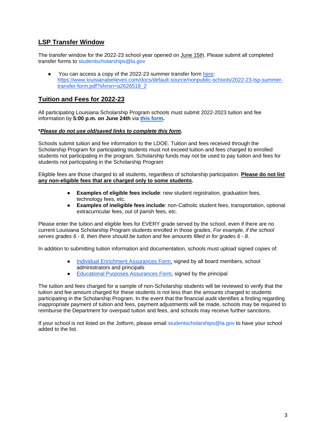## <span id="page-3-0"></span>**LSP Transfer Window**

The transfer window for the 2022-23 school year opened on **June 15th**. Please submit all completed transfer forms to studentscholarships@la.gov

You can access a copy of the 2022-23 su[m](https://www.louisianabelieves.com/docs/default-source/nonpublic-schools/2022-23-lsp-summer-transfer-form.pdf?sfvrsn=a2626518_2)mer transfer form [here:](https://www.louisianabelieves.com/docs/default-source/nonpublic-schools/2022-23-lsp-summer-transfer-form.pdf?sfvrsn=a2626518_2) [https://www.louisianabelieves.com/docs/default-source/nonpublic-schools/2022-23-lsp-summer](https://www.louisianabelieves.com/docs/default-source/nonpublic-schools/2022-23-lsp-summer-transfer-form.pdf?sfvrsn=a2626518_2)[transfer-form.pdf?sfvrsn=a2626518\\_2](https://www.louisianabelieves.com/docs/default-source/nonpublic-schools/2022-23-lsp-summer-transfer-form.pdf?sfvrsn=a2626518_2)

## <span id="page-3-1"></span>**Tuition and Fees for 2022-23**

All participating Louisiana Scholarship Program schools must submit 2022-2023 tuition and fee information by **5:00 p.m. on June 24th** via **[this form.](https://form.jotform.com/221565107309149)**

#### **\****Please do not use old/saved links to complete this form***.**

Schools submit tuition and fee information to the LDOE. Tuition and fees received through the Scholarship Program for participating students must not exceed tuition and fees charged to enrolled students not participating in the program. Scholarship funds may not be used to pay tuition and fees for students not participating in the Scholarship Program

Eligible fees are those charged to all students, regardless of scholarship participation. **Please do not list any non-eligible fees that are charged only to some students.**

- **Examples of eligible fees include**: new student registration, graduation fees, technology fees, etc.
- **Examples of ineligible fees include**: non-Catholic student fees, transportation, optional extracurricular fees, out of parish fees, etc.

Please enter the tuition and eligible fees for EVERY grade served by the school, even if there are no current Louisiana Scholarship Program students enrolled in those grades. *For example, if the school serves grades 6 - 8, then there should be tuition and fee amounts filled in for grades 6 - 8.*

In addition to submitting tuition information and documentation, schools must upload signed copies of:

- [Individual Enrichment Assurances Form,](https://urldefense.proofpoint.com/v2/url?u=https-3A__drive.google.com_file_d_1fSbVOa37qWUYyWnhS4-5F-2DfaOg1WQgBXDX_view&d=DwMFAg&c=xlPCXuHzMdaH2Flc1sgyicYpGQbQbU9KDEmgNF3_wI0&r=P567e1YhJy265zNVv7fFPnov78solC_LIJ9Q16ha9js&m=ITTOyFstX1wecsA-RI5HNP9ftlo_xbto1ccmvG8KI7o&s=qAkZysqCt9dswSdlXH6isZ6LV-hA1nY5HIMyD_kW7cw&e=) signed by all board members, school administrators and principals
- [Educational Purposes Assurances Form,](https://urldefense.proofpoint.com/v2/url?u=https-3A__drive.google.com_file_d_1-2DMr4A3bnpJqNK435-5FjjmwtBBmjUQFZ3c_view&d=DwMFAg&c=xlPCXuHzMdaH2Flc1sgyicYpGQbQbU9KDEmgNF3_wI0&r=P567e1YhJy265zNVv7fFPnov78solC_LIJ9Q16ha9js&m=ITTOyFstX1wecsA-RI5HNP9ftlo_xbto1ccmvG8KI7o&s=zHgvfjyjgAObnvYj4U7vDhTP7YOtXEYJa29L9vAb9Zk&e=) signed by the principal

The tuition and fees charged for a sample of non-Scholarship students will be reviewed to verify that the tuition and fee amount charged for these students is not less than the amounts charged to students participating in the Scholarship Program. In the event that the financial audit identifies a finding regarding inappropriate payment of tuition and fees, payment adjustments will be made, schools may be required to reimburse the Department for overpaid tuition and fees, and schools may receive further sanctions.

If your school is not listed on the Jotform, please email studentscholarships@la.gov to have your school added to the list.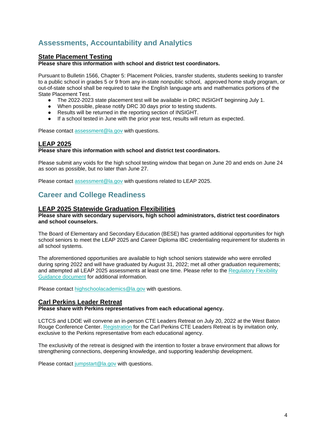## **Assessments, Accountability and Analytics**

## **State Placement Testing**

**Please share this information with school and district test coordinators.**

Pursuant to Bulletin 1566, Chapter 5: Placement Policies, transfer students, students seeking to transfer to a public school in grades 5 or 9 from any in-state nonpublic school, approved home study program, or out-of-state school shall be required to take the English language arts and mathematics portions of the State Placement Test.

- The 2022-2023 state placement test will be available in DRC INSIGHT beginning July 1.
- When possible, please notify DRC 30 days prior to testing students.
- Results will be returned in the reporting section of INSIGHT.
- If a school tested in June with the prior year test, results will return as expected.

Please contact [assessment@la.gov](mailto:assessment@la.gov) with questions.

## **LEAP 2025**

#### **Please share this information with school and district test coordinators.**

Please submit any voids for the high school testing window that began on June 20 and ends on June 24 as soon as possible, but no later than June 27.

Please contact [assessment@la.gov](mailto:assessment@la.gov) with questions related to LEAP 2025.

## <span id="page-4-0"></span>**Career and College Readiness**

### **LEAP 2025 Statewide Graduation Flexibilities**

#### **Please share with secondary supervisors, high school administrators, district test coordinators and school counselors.**

The Board of Elementary and Secondary Education (BESE) has granted additional opportunities for high school seniors to meet the LEAP 2025 and Career Diploma IBC credentialing requirement for students in all school systems.

The aforementioned opportunities are available to high school seniors statewide who were enrolled during spring 2022 and will have graduated by August 31, 2022; met all other graduation requirements; and attempted all LEAP 2025 assessments at least one time. Please refer to the Regulatory Flexibility [Guidance document](https://www.louisianabelieves.com/docs/default-source/links-for-newsletters/update-2022-leap-2025-statewide-graduation-flexibilities.pdf) for additional information.

Please contact [highschoolacademics@la.gov](mailto:highschoolacademics@la.gov) with questions.

### **Carl Perkins Leader Retreat**

#### **Please share with Perkins representatives from each educational agency.**

LCTCS and LDOE will convene an in-person CTE Leaders Retreat on July 20, 2022 at the West Baton Rouge Conference Center. [Registration](https://forms.office.com/Pages/ResponsePage.aspx?id=KJvr2XzPOkSIdWXp-b6r_lISPvs3XmJOl31IRYQ5FXZUMzBFODQ3VTFKNUc5VERVUEZQU0xKQVBERC4u) for the Carl Perkins CTE Leaders Retreat is by invitation only, exclusive to the Perkins representative from each educational agency.

The exclusivity of the retreat is designed with the intention to foster a brave environment that allows for strengthening connections, deepening knowledge, and supporting leadership development.

Please contact [jumpstart@la.gov](mailto:jumpstart@la.gov) with questions.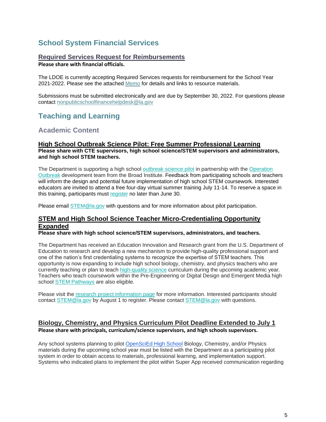## **School System Financial Services**

## **Required Services Request for Reimbursements**

**Please share with financial officials.**

The LDOE is currently accepting Required Services requests for reimbursement for the School Year 2021-2022. Please see the attached [Memo](https://www.louisianabelieves.com/docs/default-source/nonpublic-schools-finance/required-services-memo.pdf) for details and links to resource materials.

Submissions must be submitted electronically and are due by September 30, 2022. For questions please contact [nonpublicschoolfinancehelpdesk@la.gov](mailto:nonpublicschoolfinancehelpdesk@la.gov)

## <span id="page-5-0"></span>**Teaching and Learning**

## <span id="page-5-1"></span>**Academic Content**

#### **High School Outbreak Science Pilot: Free Summer Professional Learning Please share with CTE supervisors, high school science/STEM supervisors and administrators, and high school STEM teachers.**

The Department is supporting a high school [outbreak science pilot](https://drive.google.com/file/d/1hdzyczwchOaatOE354O0OV4mGCEMTlyF/view?usp=sharing) in partnership with the Operation [Outbreak](https://operationoutbreak.org/) development team from the Broad Institute. Feedback from participating schools and teachers will inform the design and potential future implementation of high school STEM coursework. Interested educators are invited to attend a free four-day virtual summer training July 11-14. To reserve a space in this training, participants must [register](https://forms.gle/vMZ6F1Hf4VVcwhPD9) no later than June 30.

Please email [STEM@la.gov](mailto:STEM@la.gov) with questions and for more information about pilot participation.

## **STEM and High School Science Teacher Micro-Credentialing Opportunity Expanded**

**Please share with high school science/STEM supervisors, administrators, and teachers.**

The Department has received an Education Innovation and Research grant from the U.S. Department of Education to research and develop a new mechanism to provide high-quality professional support and one of the nation's first credentialing systems to recognize the expertise of STEM teachers. This opportunity is now expanding to include high school biology, chemistry, and physics teachers who are currently teaching or plan to teach [high-quality science](https://www.louisianabelieves.com/docs/default-source/year-long-planning/high-quality-science-curriculum.pdf?sfvrsn=7d969a1f_14) curriculum during the upcoming academic year[.](https://www.louisianabelieves.com/resources/library/k-12-science-resources) Teachers who teach coursework within the Pre-Engineering or Digital Design and Emergent Media high school [STEM Pathways](https://louisianabelieves.com/courses/louisiana-stem-initiative) are also eligible.

Please visit the [research project information page](https://www.rand.org/education-and-labor/projects/STEM-micro-credentials.html) [f](https://www.rand.org/education-and-labor/projects/STEM-micro-credentials.html)or more information. Interested participants should contact [STEM@la.gov](mailto:STEM@la.gov) by August 1 to register. Please contact STEM@la.gov with questions.

## **Biology, Chemistry, and Physics Curriculum Pilot Deadline Extended to July 1 Please share with principals, curriculum/science supervisors, and high schools supervisors.**

Any school systems planning to pilot [OpenSciEd High School](https://www.louisianabelieves.com/docs/default-source/year-long-planning/openscied-high-school-pilot.pdf) Biology, Chemistry, and/or Physics materials during the upcoming school year must be listed with the Department as a participating pilot system in order to obtain access to materials, professional learning, and implementation support. Systems who indicated plans to implement the pilot within Super App received communication regarding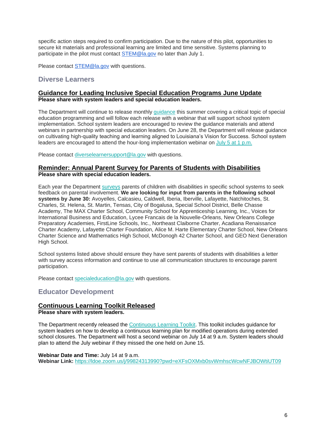specific action steps required to confirm participation. Due to the nature of this pilot, opportunities to secure kit materials and professional learning are limited and time sensitive. Systems planning to participate in the pilot must contact [STEM@la.gov](mailto:STEM@la.gov) no later than July 1.

Please contact [STEM@la.gov](mailto:STEM@la.gov) with questions.

## <span id="page-6-0"></span>**Diverse Learners**

#### **Guidance for Leading Inclusive Special Education Programs June Update Please share with system leaders and special education leaders.**

The Department will continue to release monthly [guidance](https://www.louisianabelieves.com/resources/library/school-improvement) this summer covering a critical topic of special education programming and will follow each release with a webinar that will support school system implementation. School system leaders are encouraged to review the guidance materials and attend webinars in partnership with special education leaders. On June 28, the Department will release guidance on cultivating high-quality teaching and learning aligned to Louisiana's Vision for Success. School system leaders are encouraged to attend the hour-long implementation webinar on [July 5 at 1 p.m.](https://ldoe.zoom.us/j/99590926305?pwd=M0pEQ0cyMm9ERGdqU3FsODFOMjVUZz09)

Please contact [diverselearnersupport@la.gov](mailto:diverselearnersupport@la.gov) with questions.

#### **Reminder: Annual Parent Survey for Parents of Students with Disabilities Please share with special education leaders.**

Each year the Departmen[t](https://louisianabelieves.com/students-with-disabilities/louisiana-special-education-parent-involvement-survey) [surveys](https://louisianabelieves.com/students-with-disabilities/louisiana-special-education-parent-involvement-survey) parents of children with disabilities in specific school systems to seek feedback on parental involvement. **We are looking for input from parents in the following school systems by June 30:** Avoyelles, Calcasieu, Caldwell, Iberia, Iberville, Lafayette, Natchitoches, St. Charles, St. Helena, St. Martin, Tensas, City of Bogalusa, Special School District, Belle Chasse Academy, The MAX Charter School, Community School for Apprenticeship Learning, Inc., Voices for International Business and Education, Lycee Francais de la Nouvelle-Orleans, New Orleans College Preparatory Academies, FirstLine Schools, Inc., Northeast Claiborne Charter, Acadiana Renaissance Charter Academy, Lafayette Charter Foundation, Alice M. Harte Elementary Charter School, New Orleans Charter Science and Mathematics High School, McDonogh 42 Charter School, and GEO Next Generation High School.

School systems listed above should ensure they have sent parents of students with disabilities a letter with survey access information and continue to use all communication structures to encourage parent participation.

Please contact [specialeducation@la.gov](mailto:specialeducation@la.gov) with questions.

## <span id="page-6-1"></span>**Educator Development**

### **Continuous Learning Toolkit Released**

**Please share with system leaders.**

The Department recently released the [Continuous Learning Toolkit.](https://www.louisianabelieves.com/docs/default-source/covid-19-resources/continuous-learning-toolkit.pdf) This toolkit includes guidance for system leaders on how to develop a continuous learning plan for modified operations during extended school closures. The Department will host a second webinar on July 14 at 9 a.m. System leaders should plan to attend the July webinar if they missed the one held on June 15.

#### **Webinar Date and Time:** July 14 at 9 a.m.

**Webinar Link[:](https://ldoe.zoom.us/j/99824313990?pwd=eXFsOXMxb0svWmhscWcwNFJBOWtiUT09)** <https://ldoe.zoom.us/j/99824313990?pwd=eXFsOXMxb0svWmhscWcwNFJBOWtiUT09>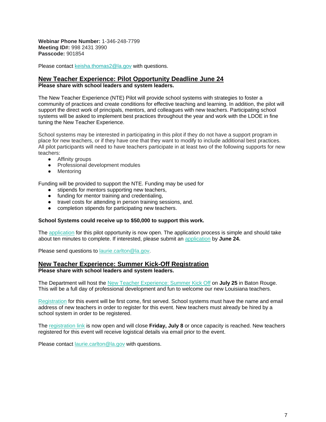**Webinar Phone Number:** 1-346-248-7799 **Meeting ID#:** 998 2431 3990 **Passcode:** 901854

Please contact [keisha.thomas2@la.gov](mailto:Keisha.Thomas2@la.gov) with questions.

#### **New Teacher Experience: Pilot Opportunity Deadline June 24 Please share with school leaders and system leaders.**

The New Teacher Experience (NTE) Pilot will provide school systems with strategies to foster a community of practices and create conditions for effective teaching and learning. In addition, the pilot will support the direct work of principals, mentors, and colleagues with new teachers. Participating school systems will be asked to implement best practices throughout the year and work with the LDOE in fine tuning the New Teacher Experience.

School systems may be interested in participating in this pilot if they do not have a support program in place for new teachers, or if they have one that they want to modify to include additional best practices. All pilot participants will need to have teachers participate in at least two of the following supports for new teachers:

- Affinity groups
- Professional development modules
- Mentoring

Funding will be provided to support the NTE. Funding may be used for

- stipends for mentors supporting new teachers,
- funding for mentor training and credentialing,
- travel costs for attending in person training sessions, and.
- completion stipends for participating new teachers.

#### **School Systems could receive up to \$50,000 to support this work.**

The [application](https://docs.google.com/forms/d/e/1FAIpQLSfhekakJahgArZUUi0-BZWjbk4jKUVVmTZCiyN8cliZfIc9jg/viewform?usp=sf_link) for this pilot opportunity is now open. The application process is simple and should take about ten minutes to complete. If interested, please submit an [application](https://docs.google.com/forms/d/e/1FAIpQLSfhekakJahgArZUUi0-BZWjbk4jKUVVmTZCiyN8cliZfIc9jg/viewform?usp=sf_link) by **June 24.**

Please send questions to [laurie.carlton@la.gov.](mailto:laurie.carlton@la.gov)

#### **New Teacher Experience: Summer Kick-Off Registration**

**Please share with school leaders and system leaders.**

The Department will host the [New Teacher Experience: Summer Kick Off](https://www.louisianabelieves.com/docs/default-source/awards/new-teacher-experience-summer-kick-off.pdf?sfvrsn=fa4e6518_2) on **July 25** in Baton Rouge. This will be a full day of professional development and fun to welcome our new Louisiana teachers.

[Registration](https://docs.google.com/forms/d/e/1FAIpQLSfhekakJahgArZUUi0-BZWjbk4jKUVVmTZCiyN8cliZfIc9jg/viewform?usp=sf_link) for this event will be first come, first served. School systems must have the name and email address of new teachers in order to register for this event. New teachers must already be hired by a school system in order to be registered.

The [registration link](https://docs.google.com/forms/d/e/1FAIpQLSfhekakJahgArZUUi0-BZWjbk4jKUVVmTZCiyN8cliZfIc9jg/viewform?usp=sf_link) is now open and will close **Friday, July 8** or once capacity is reached. New teachers registered for this event will receive logistical details via email prior to the event.

Please contact [laurie.carlton@la.gov](mailto:laurie.carlton@la.gov) with questions.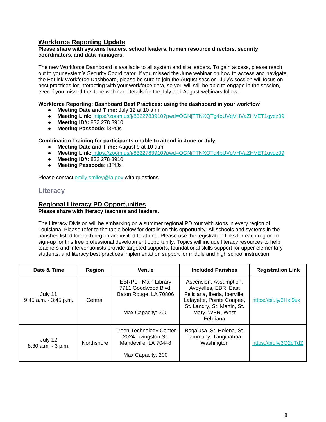## **Workforce Reporting Update**

#### **Please share with systems leaders, school leaders, human resource directors, security coordinators, and data managers.**

The new Workforce Dashboard is available to all system and site leaders. To gain access, please reach out to your system's Security Coordinator. If you missed the June webinar on how to access and navigate the EdLink Workforce Dashboard, please be sure to join the August session. July's session will focus on best practices for interacting with your workforce data, so you will still be able to engage in the session, even if you missed the June webinar. Details for the July and August webinars follow.

#### **Workforce Reporting: Dashboard Best Practices: using the dashboard in your workflow**

- **Meeting Date and Time: July 12 at 10 a.m.**
- **Meeting Link:** <https://zoom.us/j/8322783910?pwd=OGNjTTNXQTg4bUVqVHVaZHVET1gydz09>
- **Meeting ID#:** 832 278 3910
- **Meeting Passcode:** i3PfJs

#### **Combination Training for participants unable to attend in June or July**

- **Meeting Date and Time:** August 9 at 10 a.m.
- **Meeting Link:** <https://zoom.us/j/8322783910?pwd=OGNjTTNXQTg4bUVqVHVaZHVET1gydz09>
- **Meeting ID#:** 832 278 3910
- **Meeting Passcode:** i3PfJs

Please contact [emily.smiley@la.gov](mailto:emily.smiley@la.gov) with questions.

## <span id="page-8-0"></span>**Literacy**

## **Regional Literacy PD Opportunities**

#### **Please share with literacy teachers and leaders.**

The Literacy Division will be embarking on a summer regional PD tour with stops in every region of Louisiana. Please refer to the table below for details on this opportunity. All schools and systems in the parishes listed for each region are invited to attend. Please use the registration links for each region to sign-up for this free professional development opportunity. Topics will include literacy resources to help teachers and interventionists provide targeted supports, foundational skills support for upper elementary students, and literacy best practices implementation support for middle and high school instruction.

| Date & Time                      | <b>Region</b> | <b>Venue</b>                                                                                       | <b>Included Parishes</b>                                                                                                                                                    | <b>Registration Link</b> |
|----------------------------------|---------------|----------------------------------------------------------------------------------------------------|-----------------------------------------------------------------------------------------------------------------------------------------------------------------------------|--------------------------|
| July 11<br>9:45 a.m. - 3:45 p.m. | Central       | <b>EBRPL - Main Library</b><br>7711 Goodwood Blvd.<br>Baton Rouge, LA 70806<br>Max Capacity: 300   | Ascension, Assumption,<br>Avoyelles, EBR, East<br>Feliciana, Iberia, Iberville,<br>Lafayette, Pointe Coupee,<br>St. Landry, St. Martin, St.<br>Mary, WBR, West<br>Feliciana | https://bit.ly/3Hxl9ux   |
| July 12<br>$8:30$ a.m. $-3$ p.m. | Northshore    | <b>Treen Technology Center</b><br>2024 Livingston St.<br>Mandeville, LA 70448<br>Max Capacity: 200 | Bogalusa, St. Helena, St.<br>Tammany, Tangipahoa,<br>Washington                                                                                                             | https://bit.ly/3O2dTdZ   |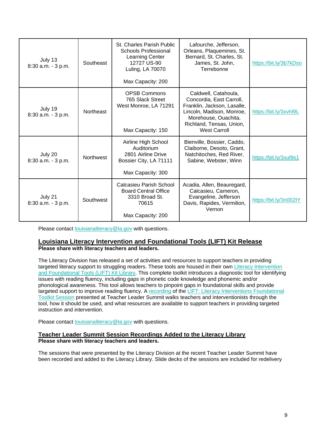| July 13<br>8:30 a.m. - 3 p.m. | Southeast        | St. Charles Parish Public<br><b>Schools Professional</b><br><b>Learning Center</b><br>12727 US-90<br>Luling, LA 70070<br>Max Capacity: 200 | Lafourche, Jefferson,<br>Orleans, Plaquemines, St.<br>Bernard, St. Charles, St.<br>James, St. John,<br>Terrebonne                                                                       | https://bit.ly/3b7kDso |
|-------------------------------|------------------|--------------------------------------------------------------------------------------------------------------------------------------------|-----------------------------------------------------------------------------------------------------------------------------------------------------------------------------------------|------------------------|
| July 19<br>8:30 a.m. - 3 p.m. | <b>Northeast</b> | <b>OPSB Commons</b><br>765 Slack Street<br>West Monroe, LA 71291<br>Max Capacity: 150                                                      | Caldwell, Catahoula,<br>Concordia, East Carroll,<br>Franklin, Jackson, Lasalle,<br>Lincoln, Madison, Monroe,<br>Morehouse, Ouachita,<br>Richland, Tensas, Union,<br><b>West Carroll</b> | https://bit.ly/3xvhl9L |
| July 20<br>8:30 a.m. - 3 p.m. | <b>Northwest</b> | Airline High School<br>Auditorium<br>2801 Airline Drive<br>Bossier City, LA 71111<br>Max Capacity: 300                                     | Bienville, Bossier, Caddo,<br>Claiborne, Desoto, Grant,<br>Natchitoches, Red River,<br>Sabine, Webster, Winn                                                                            | https://bit.ly/3xul9s1 |
| July 21<br>8:30 a.m. - 3 p.m. | Southwest        | Calcasieu Parish School<br><b>Board Central Office</b><br>3310 Broad St.<br>70615<br>Max Capacity: 200                                     | Acadia, Allen, Beauregard,<br>Calcasieu, Cameron,<br>Evangeline, Jefferson<br>Davis, Rapides, Vermilion,<br>Vernon                                                                      | https://bit.ly/3n002IY |

Please contact [louisianaliteracy@la.gov](mailto:louisianaliteracy@la.gov) with questions.

#### **Louisiana Literacy Intervention and Foundational Tools (LIFT) Kit Release Please share with literacy teachers and leaders.**

The Literacy Division has released a set of activities and resources to support teachers in providing targeted literacy support to struggling readers. These tools are housed in their own Literacy Intervention [and Foundational Tools \(LIFT\) Kit Library.](https://www.louisianabelieves.com/resources/library/lift-(literacy-interventions-and-foundational-tools)-kit-library) This complete toolkit introduces a diagnostic tool for identifying issues with reading fluency, including gaps in phonetic code knowledge and phonemic and/or phonological awareness. This tool allows teachers to pinpoint gaps in foundational skills and provide targeted support to improve reading fluency. A [recording](https://youtu.be/52BLBLAUpHQ) of the [LIFT: Literacy Interventions Foundational](https://www.louisianabelieves.com/docs/default-source/literacy/foundational-skills-don)  [Toolkit Session](https://www.louisianabelieves.com/docs/default-source/literacy/foundational-skills-don) presented at Teacher Leader Summit walks teachers and interventionists through the tool, how it should be used, and what resources are available to support teachers in providing targeted instruction and intervention.

Please contact [louisianaliteracy@la.gov](mailto:louisianaliteracy@la.gov) with questions.

#### **Teacher Leader Summit Session Recordings Added to the Literacy Library Please share with literacy teachers and leaders.**

The sessions that were presented by the Literacy Division at the recent Teacher Leader Summit have been recorded and added to the Literacy Library. Slide decks of the sessions are included for redelivery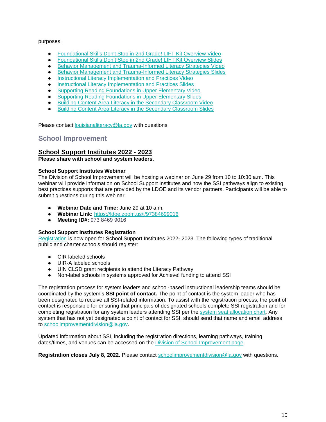#### purposes.

- [Foundational Skills Don't Stop in 2nd Grade! LIFT Kit Overview Video](https://youtu.be/52BLBLAUpHQ)
- [Foundational Skills Don't Stop in 2nd Grade! LIFT Kit Overview Slides](https://www.louisianabelieves.com/docs/default-source/literacy/foundational-skills-don)
- [Behavior Management and Trauma-Informed Literacy Strategies Video](https://youtu.be/ZVUSUVVMw2M)
- [Behavior Management and Trauma-Informed Literacy Strategies Slides](https://www.louisianabelieves.com/docs/default-source/literacy/behavior-management-and-trauma-informed-literacy-strategies.pdf)
- **•** [Instructional Literacy Implementation and Practices Video](https://youtu.be/RI7uZWM3_Xk)
- [Instructional Literacy Implementation and Practices Slides](https://www.louisianabelieves.com/docs/default-source/literacy/instructional-literacy-implementation-and-practices.pdf)
- **[Supporting Reading Foundations in Upper Elementary Video](https://youtu.be/iTTW927ey9E)**
- [Supporting Reading Foundations in Upper Elementary Slides](https://www.louisianabelieves.com/docs/default-source/literacy/supporting-reading-foundations-in-upper-elementary.pdf)
- [Building Content Area Literacy in the Secondary Classroom Video](https://youtu.be/gJOf42ZJP4o)
- **[Building Content Area Literacy in the Secondary Classroom Slides](https://www.louisianabelieves.com/docs/default-source/literacy/building-content-area-literacy-in-the-secondary-classroom.pdf)**

Please contact [louisianaliteracy@la.gov](mailto:louisianaliteracy@la.gov) with questions.

## <span id="page-10-0"></span>**School Improvement**

### **School Support Institutes 2022 - 2023**

**Please share with school and system leaders.**

#### **School Support Institutes Webinar**

The Division of School Improvement will be hosting a webinar on June 29 from 10 to 10:30 a.m. This webinar will provide information on School Support Institutes and how the SSI pathways align to existing best practices supports that are provided by the LDOE and its vendor partners. Participants will be able to submit questions during this webinar.

- **Webinar Date and Time:** June 29 at 10 a.m.
- **Webinar Link:** <https://ldoe.zoom.us/j/97384699016>
- **Meeting ID#:** 973 8469 9016

#### **School Support Institutes Registration**

[Registration](https://www.louisianabelieves.com/docs/default-source/district-support/school-support-institutes-registration.pdf?sfvrsn=1a696518_2) is now open for School Support Institutes 2022- 2023. The following types of traditional public and charter schools should register:

- CIR labeled schools
- UIR-A labeled schools
- UIN CLSD grant recipients to attend the Literacy Pathway
- Non-label schools in systems approved for Achieve! funding to attend SSI

The registration process for system leaders and school-based instructional leadership teams should be coordinated by the system's **SSI point of contact.** The point of contact is the system leader who has been designated to receive all SSI-related information. To assist with the registration process, the point of contact is responsible for ensuring that principals of designated schools complete SSI registration and for completing registration for any system leaders attending SSI per the [system seat allocation chart.](https://www.louisianabelieves.com/docs/default-source/district-support/school-support-institutes-overview.pdf?sfvrsn=6f16991f_10) Any system that has not yet designated a point of contact for SSI, should send that name and email address to [schoolimprovementdivision@la.gov.](mailto:schoolimprovementdivision@la.gov)

Updated information about SSI, including the registration directions, learning pathways, training dates/times, and venues can be accessed on the [Division of School Improvement page.](https://www.louisianabelieves.com/schools/school-improvement)

**Registration closes July 8, 2022.** Please contact [schoolimprovementdivision@la.gov](mailto:schoolimprovementdivision@la.gov) with questions.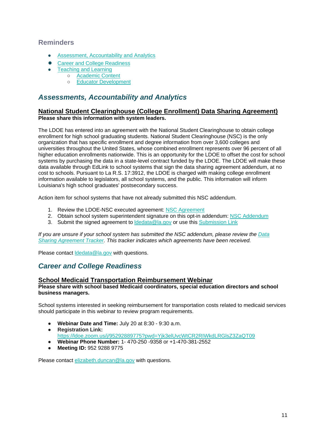## <span id="page-11-0"></span>**Reminders**

- **[Assessment, Accountability and Analytics](#page-11-1)**
- [Career and College Readiness](#page-11-2)
- [Teaching and Learning](#page-12-0)
	- [Academic Content](#page-12-1)
	- [Educator Development](#page-12-2)

## <span id="page-11-1"></span>*Assessments, Accountability and Analytics*

### **National Student Clearinghouse (College Enrollment) Data Sharing Agreement) Please share this information with system leaders.**

The LDOE has entered into an agreement with the National Student Clearinghouse to obtain college enrollment for high school graduating students. National Student Clearinghouse (NSC) is the only organization that has specific enrollment and degree information from over 3,600 colleges and universities throughout the United States, whose combined enrollment represents over 96 percent of all higher education enrollments nationwide. This is an opportunity for the LDOE to offset the cost for school systems by purchasing the data in a state-level contract funded by the LDOE. The LDOE will make these data available through EdLink to school systems that sign the data sharing agreement addendum, at no cost to schools. Pursuant to La R.S. 17:3912, the LDOE is charged with making college enrollment information available to legislators, all school systems, and the public. This information will inform Louisiana's high school graduates' postsecondary success.

Action item for school systems that have not already submitted this NSC addendum.

- 1. Review the LDOE-NSC executed agreement[:](https://urldefense.proofpoint.com/v2/url?u=https-3A__www.louisianabelieves.com_docs_default-2Dsource_data-2Dmanagement_national-2Dstudent-2Dclearinghouse-2D-2D-2D2022.pdf-3Fsfvrsn-3D7386518-5F2&d=DwMGaQ&c=xlPCXuHzMdaH2Flc1sgyicYpGQbQbU9KDEmgNF3_wI0&r=tfo0-czka-P8BMN0du3dPA&m=uadRfWRlT6LHVvjLybWdt1j7f2AnqAWd5f_plPO3irE&s=7KP7-ieeoXBHU_TwGcvZh7kMxAKbfvv5FLqmFebCAa0&e=) [NSC Agreement](https://urldefense.proofpoint.com/v2/url?u=https-3A__www.louisianabelieves.com_docs_default-2Dsource_data-2Dmanagement_national-2Dstudent-2Dclearinghouse-2D-2D-2D2022.pdf-3Fsfvrsn-3D7386518-5F2&d=DwMGaQ&c=xlPCXuHzMdaH2Flc1sgyicYpGQbQbU9KDEmgNF3_wI0&r=tfo0-czka-P8BMN0du3dPA&m=uadRfWRlT6LHVvjLybWdt1j7f2AnqAWd5f_plPO3irE&s=7KP7-ieeoXBHU_TwGcvZh7kMxAKbfvv5FLqmFebCAa0&e=)
- 2. Obtain school system superintendent signature on this opt-in addendum[:](https://www.louisianabelieves.com/docs/default-source/data-management/national-student-clearinghouse-(2022)---addendum.docx?sfvrsn=fa386518_2) [NSC Addendum](https://www.louisianabelieves.com/docs/default-source/data-management/national-student-clearinghouse-(2022)---addendum.docx?sfvrsn=fa386518_2)
- 3. Submit the signed agreement to [ldedata@la.gov](mailto:ldedata@la.gov) or use thi[s](https://form.jotform.com/220685140413144) [Submission Link](https://form.jotform.com/220685140413144)

*If you are unsure if your school system has submitted the NSC addendum, please review th[e](https://datastudio.google.com/u/0/reporting/1arwh3223YKsaV7xjbgEJSf0uymYALvUH/page/ija3?params=%7B%22df2%22:%22include%25EE%2580%25800%25EE%2580%2580IN%25EE%2580%2580002%22%7D) [Data](https://datastudio.google.com/u/0/reporting/1arwh3223YKsaV7xjbgEJSf0uymYALvUH/page/ija3?params=%7B%22df2%22:%22include%25EE%2580%25800%25EE%2580%2580IN%25EE%2580%2580002%22%7D)  [Sharing Agreement Tracker.](https://datastudio.google.com/u/0/reporting/1arwh3223YKsaV7xjbgEJSf0uymYALvUH/page/ija3?params=%7B%22df2%22:%22include%25EE%2580%25800%25EE%2580%2580IN%25EE%2580%2580002%22%7D) This tracker indicates which agreements have been received.*

Please contact [ldedata@la.gov](mailto:ldedata@la.gov) with questions.

## <span id="page-11-2"></span>*Career and College Readiness*

#### **School Medicaid Transportation Reimbursement Webinar**

#### **Please share with school based Medicaid coordinators, special education directors and school business managers.**

School systems interested in seeking reimbursement for transportation costs related to medicaid services should participate in this webinar to review program requirements.

- **Webinar Date and Time:** July 20 at 8:30 9:30 a.m.
- **Registration Link:**  <https://ldoe.zoom.us/j/95292889775?pwd=Yjk3elUvcWtCR2RIWkdLRGlsZ3ZaQT09>
- **Webinar Phone Number:** 1- 470-250 -9358 or +1-470-381-2552
- **Meeting ID:** 952 9288 9775

Please contact [elizabeth.duncan@la.gov](mailto:elizabeth.duncan@la.gov) with questions.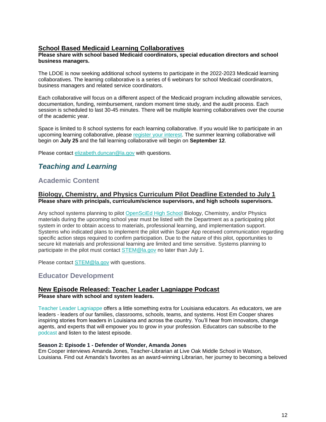## **School Based Medicaid Learning Collaboratives**

#### **Please share with school based Medicaid coordinators, special education directors and school business managers.**

The LDOE is now seeking additional school systems to participate in the 2022-2023 Medicaid learning collaboratives. The learning collaborative is a series of 6 webinars for school Medicaid coordinators, business managers and related service coordinators.

Each collaborative will focus on a different aspect of the Medicaid program including allowable services, documentation, funding, reimbursement, random moment time study, and the audit process. Each session is scheduled to last 30-45 minutes. There will be multiple learning collaboratives over the course of the academic year.

Space is limited to 8 school systems for each learning collaborative. If you would like to participate in an upcoming learning collaborative, please [register your interest.](https://forms.gle/YiB95v7nCYKkGU2QA) The summer learning collaborative will begin on **July 25** and the fall learning collaborative will begin on **September 12**.

Please contact [elizabeth.duncan@la.gov](mailto:elizabeth.duncan@la.gov) with questions.

## <span id="page-12-0"></span>*Teaching and Learning*

## <span id="page-12-1"></span>**Academic Content**

#### **Biology, Chemistry, and Physics Curriculum Pilot Deadline Extended to July 1 Please share with principals, curriculum/science supervisors, and high schools supervisors.**

Any school systems planning to pilot [OpenSciEd High School](https://www.louisianabelieves.com/docs/default-source/year-long-planning/openscied-high-school-pilot.pdf) Biology, Chemistry, and/or Physics materials during the upcoming school year must be listed with the Department as a participating pilot system in order to obtain access to materials, professional learning, and implementation support. Systems who indicated plans to implement the pilot within Super App received communication regarding specific action steps required to confirm participation. Due to the nature of this pilot, opportunities to secure kit materials and professional learning are limited and time sensitive. Systems planning to participate in the pilot must contact [STEM@la.gov](mailto:STEM@la.gov) no later than July 1.

Please contact [STEM@la.gov](mailto:STEM@la.gov) with questions.

## <span id="page-12-2"></span>**Educator Development**

#### **New Episode Released: Teacher Leader Lagniappe Podcast Please share with school and system leaders.**

Teacher Leader Lagniappe offers a little something extra for Louisiana educators. As educators, we are leaders - leaders of our families, classrooms, schools, teams, and systems. Host Em Cooper shares inspiring stories from leaders in Louisiana and across the country. You'll hear from innovators, change agents, and experts that will empower you to grow in your profession. Educators can subscribe to th[e](https://www.buzzsprout.com/1804579) [podcast](https://www.buzzsprout.com/1804579) and listen to the latest episode.

#### **Season 2: Episode 1 - Defender of Wonder, Amanda Jones**

Em Cooper interviews Amanda Jones, Teacher-Librarian at Live Oak Middle School in Watson, Louisiana. Find out Amanda's favorites as an award-winning Librarian, her journey to becoming a beloved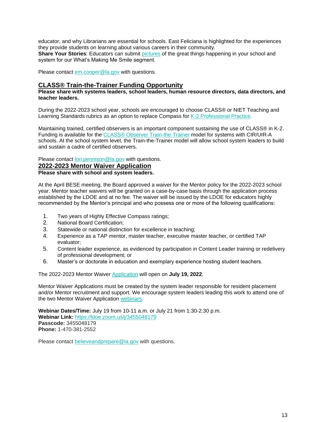educator, and why Librarians are essential for schools. East Feliciana is highlighted for the experiences they provide students on learning about various careers in their community. **Share Your Stories**: Educators can submit [pictures](https://www.louisianabelieves.com/podcast) of the great things happening in your school and system for our What's Making Me Smile segment.

Please contact [em.cooper@la.gov](mailto:em.cooper@la.gov) with questions.

## **CLASS® Train-the-Trainer Funding Opportunity**

**Please share with systems leaders, school leaders, human resource directors, data directors, and teacher leaders.**

During the 2022-2023 school year, schools are encouraged to choose CLASS® or NIET Teaching and Learning Standards rubrics as an option to replace Compass for [K-2 Professional Practice.](https://www.louisianabelieves.com/docs/default-source/key-compass-resources/2022-2023-k-2-teacher-professional-practice.pdf?sfvrsn=96126518_4)

Maintaining trained, certified observers is an important component sustaining the use of CLASS® in K-2. Funding is available for the [CLASS® Observer Train-the-Trainer](https://www.louisianabelieves.com/docs/default-source/key-compass-resources/k-2-class-ttt-funding-opportunity_-spring-2022.pdf?sfvrsn=95126518_4) model for systems with CIR/UIR-A schools. At the school system level, the Train-the-Trainer model will allow school system leaders to build and sustain a cadre of certified observers.

Please contact [lori.pennison@la.gov](mailto:lori.pennison@la.gov) with questions.

**2022-2023 Mentor Waiver Application Please share with school and system leaders.**

At the April BESE meeting, the Board approved a waiver for the Mentor policy for the 2022-2023 school year. Mentor teacher waivers will be granted on a case-by-case basis through the application process established by the LDOE and at no fee. The waiver will be issued by the LDOE for educators highly recommended by the Mentor's principal and who possess one or more of the following qualifications:

- 1. Two years of Highly Effective Compass ratings;
- 2. National Board Certification;
- 3. Statewide or national distinction for excellence in teaching;
- 4. Experience as a TAP mentor, master teacher, executive master teacher, or certified TAP evaluator;
- 5. Content leader experience, as evidenced by participation in Content Leader training or redelivery of professional development; or
- 6. Master's or doctorate in education and exemplary experience hosting student teachers.

The 2022-2023 Mentor Waiver [Application](https://louisianabelieves.smapply.io/prog/) will open on **July 19, 2022**.

Mentor Waiver Applications must be created by the system leader responsible for resident placement and/or Mentor recruitment and support. We encourage system leaders leading this work to attend one of the two Mentor Waiver Application [webinars.](https://ldoe.zoom.us/j/3455048179)

**Webinar Dates/Time:** July 19 from 10-11 a.m. or July 21 from 1:30-2:30 p.m. **Webinar Link:** <https://ldoe.zoom.us/j/3455048179> **Passcode:** 3455048179 **Phone:** 1-470-381-2552

Please contact [believeandprepare@la.gov](mailto:believeandprepare@la.gov) with questions.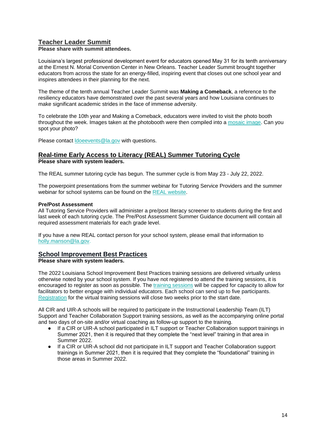## **Teacher Leader Summit**

**Please share with summit attendees.**

Louisiana's largest professional development event for educators opened May 31 for its tenth anniversary at the Ernest N. Morial Convention Center in New Orleans. Teacher Leader Summit brought together educators from across the state for an energy-filled, inspiring event that closes out one school year and inspires attendees in their planning for the next.

The theme of the tenth annual Teacher Leader Summit was **Making a Comeback**, a reference to the resiliency educators have demonstrated over the past several years and how Louisiana continues to make significant academic strides in the face of immense adversity.

To celebrate the 10th year and Making a Comeback, educators were invited to visit the photo booth throughout the week. Images taken at the photobooth were then compiled into a [mosaic image.](https://urldefense.proofpoint.com/v2/url?u=https-3A__ecs.page.link_Bqorp&d=DwMFaQ&c=xlPCXuHzMdaH2Flc1sgyicYpGQbQbU9KDEmgNF3_wI0&r=ud6Vc09FYp3oyW8DRMeTq4DgjZnjJaHdwHefwS7j_rw&m=_xgnsQnhP42lkVCsvCEA3hM6-0ZuROGBturbS-MF2Ds&s=7aRZ_0n75N-UM4YVsr1kZI9r-liUtLjGfjs6CNDGtVw&e=) Can you spot your photo?

Please contact **doeevents@la.gov** with questions.

# **Real-time Early Access to Literacy (REAL) Summer Tutoring Cycle**

**Please share with system leaders.**

The REAL summer tutoring cycle has begun. The summer cycle is from May 23 - July 22, 2022.

The powerpoint presentations from the summer webinar for Tutoring Service Providers and the summer webinar for school systems can be found on the [REAL website.](https://www.louisianabelieves.com/academics/real-time-early-access-to-literacy)

#### **Pre/Post Assessment**

All Tutoring Service Providers will administer a pre/post literacy screener to students during the first and last week of each tutoring cycle. The Pre/Post Assessment Sum[mer Guidance](https://drive.google.com/file/d/1wY3o8SORcsJopqILT0F8EPOQ-53JWGMY/view?usp=sharing) document will contain all required assessment materials for each grade level.

If you have a new REAL contact person for your school system, please email that information to [holly.manson@la.gov.](mailto:holly.manson@la.gov)

### **School Improvement Best Practices**

**Please share with system leaders.**

The 2022 Louisiana School Improvement Best Practices training sessions are delivered virtually unless otherwise noted by your school system. If you have not registered to attend the training sessions, it is encouraged to register as soon as possible. The [training sessions](https://www.louisianabelieves.com/docs/default-source/district-support/louisiana-best-practices---summer-2022-general-training-dates.pdf?sfvrsn=22316518_2-Summer-2022-General-Dates.pdf) will be capped for capacity to allow for facilitators to better engage with individual educators. Each school can send up to five participants. [Registration](https://na.eventscloud.com/website/38017/) for the virtual training sessions will close two weeks prior to the start date.

All CIR and UIR-A schools will be required to participate in the Instructional Leadership Team (ILT) Support and Teacher Collaboration Support training sessions, as well as the accompanying online portal and two days of on-site and/or virtual coaching as follow-up support to the training.

- If a CIR or UIR-A school participated in ILT support or Teacher Collaboration support trainings in Summer 2021, then it is required that they complete the "next level" training in that area in Summer 2022.
- If a CIR or UIR-A school did not participate in ILT support and Teacher Collaboration support trainings in Summer 2021, then it is required that they complete the "foundational" training in those areas in Summer 2022.